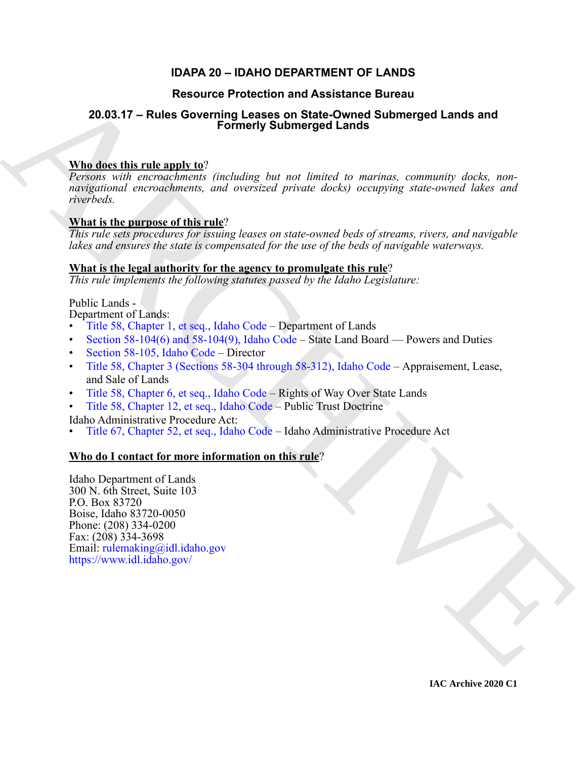### **IDAPA 20 – IDAHO DEPARTMENT OF LANDS**

### **Resource Protection and Assistance Bureau**

## **20.03.17 – Rules Governing Leases on State-Owned Submerged Lands and Formerly Submerged Lands**

### **Who does this rule apply to**?

[R](https://legislature.idaho.gov/statutesrules/idstat/Title58/T58CH1/)esource Protection and Assistance Bureau<br>
20.03.17 – Rules Governing Leases on State Ownerged Lands and<br>
Who does this rule amply to:<br>  $\frac{N_{\text{H}}}{N_{\text{H}}}\frac{N_{\text{H}}}{N_{\text{H}}}$  (*noboling hu, not* lowed to more commonly dec *Persons with encroachments (including but not limited to marinas, community docks, nonnavigational encroachments, and oversized private docks) occupying state-owned lakes and riverbeds.*

### **What is the purpose of this rule**?

*This rule sets procedures for issuing leases on state-owned beds of streams, rivers, and navigable lakes and ensures the state is compensated for the use of the beds of navigable waterways.*

### **What is the legal authority for the agency to promulgate this rule**?

*This rule implements the following statutes passed by the Idaho Legislature:*

Public Lands -

Department of Lands:

- Title 58, Chapter 1, et seq., Idaho Code Department of Lands
- Section 58-104(6) and 58-104(9), Idaho Code State Land Board Powers and Duties
- Section 58-105, Idaho Code Director
- Title 58, Chapter 3 (Sections 58-304 through 58-312), Idaho Code Appraisement, Lease, and Sale of Lands
- Title 58, Chapter 6, et seq., Idaho Code Rights of Way Over State Lands
- Title 58, Chapter 12, et seq., Idaho Code Public Trust Doctrine

Idaho Administrative Procedure Act:

• Title 67, Chapter 52, et seq., Idaho Code – Idaho Administrative Procedure Act

#### **Who do I contact for more information on this rule**?

Idaho Department of Lands 300 N. 6th Street, Suite 103 P.O. Box 83720 Boise, Idaho 83720-0050 Phone: (208) 334-0200 Fax: (208) 334-3698 Email: rulemaking@idl.idaho.gov https://www.idl.idaho.gov/

**IAC Archive 2020 C1**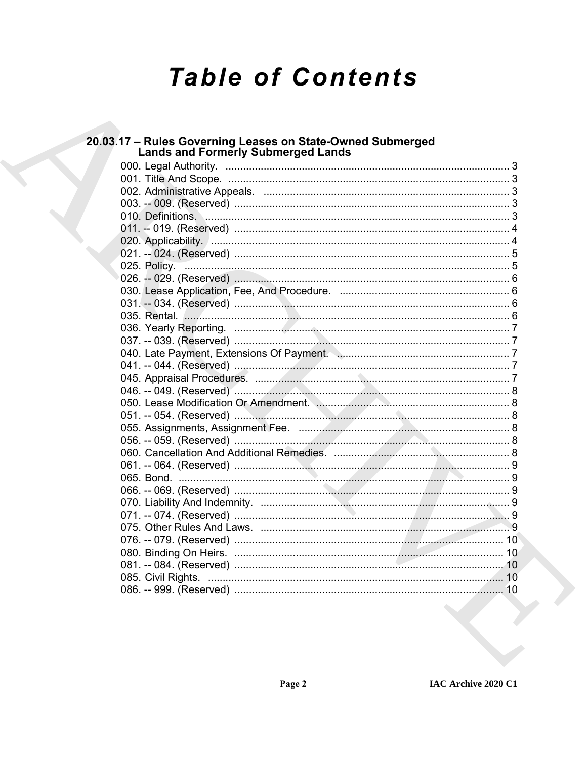# **Table of Contents**

| 20.03.17 - Rules Governing Leases on State-Owned Submerged<br><b>Lands and Formerly Submerged Lands</b> |  |
|---------------------------------------------------------------------------------------------------------|--|
|                                                                                                         |  |
|                                                                                                         |  |
|                                                                                                         |  |
|                                                                                                         |  |
|                                                                                                         |  |
|                                                                                                         |  |
|                                                                                                         |  |
|                                                                                                         |  |
|                                                                                                         |  |
|                                                                                                         |  |
|                                                                                                         |  |
|                                                                                                         |  |
|                                                                                                         |  |
|                                                                                                         |  |
|                                                                                                         |  |
|                                                                                                         |  |
|                                                                                                         |  |
|                                                                                                         |  |
|                                                                                                         |  |
|                                                                                                         |  |
|                                                                                                         |  |
|                                                                                                         |  |
|                                                                                                         |  |
|                                                                                                         |  |
|                                                                                                         |  |
|                                                                                                         |  |
|                                                                                                         |  |
|                                                                                                         |  |
|                                                                                                         |  |
|                                                                                                         |  |
|                                                                                                         |  |
|                                                                                                         |  |
|                                                                                                         |  |
|                                                                                                         |  |
|                                                                                                         |  |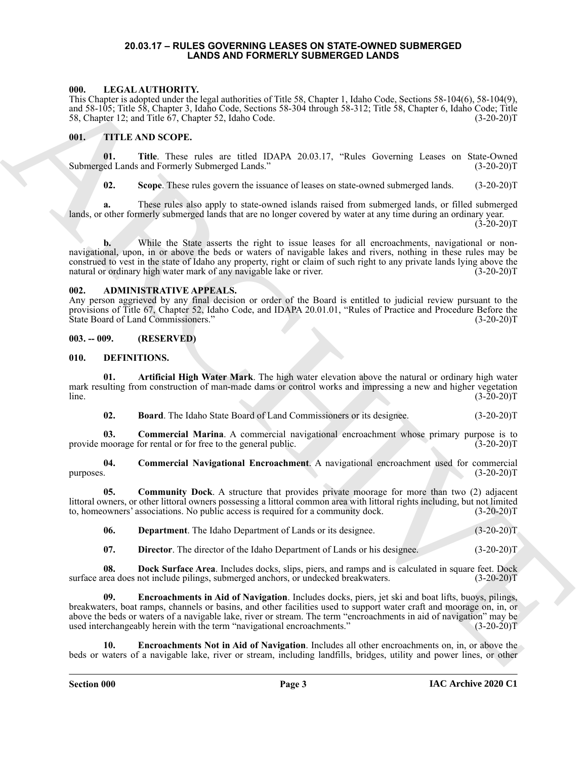#### **20.03.17 – RULES GOVERNING LEASES ON STATE-OWNED SUBMERGED LANDS AND FORMERLY SUBMERGED LANDS**

#### <span id="page-2-18"></span><span id="page-2-1"></span><span id="page-2-0"></span>**000. LEGAL AUTHORITY.**

This Chapter is adopted under the legal authorities of Title 58, Chapter 1, Idaho Code, Sections 58-104(6), 58-104(9), and 58-105; Title 58, Chapter 3, Idaho Code, Sections 58-304 through 58-312; Title 58, Chapter 6, Idaho Code; Title 58, Chapter 12; and Title 67, Chapter 52, Idaho Code. (3-20-20)T

#### <span id="page-2-19"></span><span id="page-2-2"></span>**001. TITLE AND SCOPE.**

**01. Title**. These rules are titled IDAPA 20.03.17, "Rules Governing Leases on State-Owned Submerged Lands and Formerly Submerged Lands." (3-20-20)T

**02.** Scope. These rules govern the issuance of leases on state-owned submerged lands. (3-20-20)T

**a.** These rules also apply to state-owned islands raised from submerged lands, or filled submerged lands, or other formerly submerged lands that are no longer covered by water at any time during an ordinary year.

 $(3-20-20)T$ 

600. LIFE-11 Micro LATION EXPLORATION (1990. The S. Channel L. Library C. Micro C. S. Changes C. Library C. Library C. Library C. Library C. Library C. Library C. Library C. Library C. Library C. Library C. Library C. Lib While the State asserts the right to issue leases for all encroachments, navigational or nonnavigational, upon, in or above the beds or waters of navigable lakes and rivers, nothing in these rules may be construed to vest in the state of Idaho any property, right or claim of such right to any private lands lying above the natural or ordinary high water mark of any navigable lake or river. (3-20-20) T

#### <span id="page-2-6"></span><span id="page-2-3"></span>**002. ADMINISTRATIVE APPEALS.**

Any person aggrieved by any final decision or order of the Board is entitled to judicial review pursuant to the provisions of Title 67, Chapter 52, Idaho Code, and IDAPA 20.01.01, "Rules of Practice and Procedure Before the State Board of Land Commissioners." (3-20-20)T

#### <span id="page-2-4"></span>**003. -- 009. (RESERVED)**

#### <span id="page-2-7"></span><span id="page-2-5"></span>**010. DEFINITIONS.**

**01. Artificial High Water Mark**. The high water elevation above the natural or ordinary high water mark resulting from construction of man-made dams or control works and impressing a new and higher vegetation  $\text{line.} \tag{3-20-20}$ 

<span id="page-2-11"></span><span id="page-2-10"></span><span id="page-2-9"></span><span id="page-2-8"></span>**02. Board**. The Idaho State Board of Land Commissioners or its designee. (3-20-20)T

**03.** Commercial Marina. A commercial navigational encroachment whose primary purpose is to moorage for rental or for free to the general public. (3-20-20) provide moorage for rental or for free to the general public.

**04. Commercial Navigational Encroachment**. A navigational encroachment used for commercial purposes. (3-20-20)T

**05. Community Dock**. A structure that provides private moorage for more than two (2) adjacent littoral owners, or other littoral owners possessing a littoral common area with littoral rights including, but not limited to, homeowners' associations. No public access is required for a community dock. (3-20-20)T to, homeowners' associations. No public access is required for a community dock.

<span id="page-2-13"></span><span id="page-2-12"></span>**06. Department**. The Idaho Department of Lands or its designee. (3-20-20)T

<span id="page-2-16"></span><span id="page-2-15"></span><span id="page-2-14"></span>**07. Director**. The director of the Idaho Department of Lands or his designee. (3-20-20)T

**08. Dock Surface Area**. Includes docks, slips, piers, and ramps and is calculated in square feet. Dock rea does not include pilings, submerged anchors, or undecked breakwaters. (3-20-20) surface area does not include pilings, submerged anchors, or undecked breakwaters.

**09. Encroachments in Aid of Navigation**. Includes docks, piers, jet ski and boat lifts, buoys, pilings, breakwaters, boat ramps, channels or basins, and other facilities used to support water craft and moorage on, in, or above the beds or waters of a navigable lake, river or stream. The term "encroachments in aid of navigation" may be used interchangeably herein with the term "navigational encroachments." (3-20-20)T

<span id="page-2-17"></span>**10. Encroachments Not in Aid of Navigation**. Includes all other encroachments on, in, or above the beds or waters of a navigable lake, river or stream, including landfills, bridges, utility and power lines, or other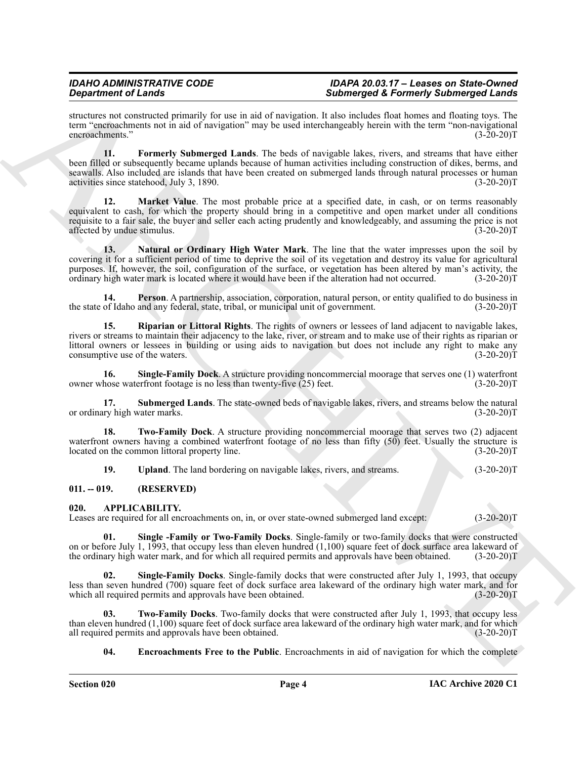structures not constructed primarily for use in aid of navigation. It also includes float homes and floating toys. The term "encroachments not in aid of navigation" may be used interchangeably herein with the term "non-navigational<br>(3-20-20)T encroachments."

<span id="page-3-8"></span><span id="page-3-7"></span>**11. Formerly Submerged Lands**. The beds of navigable lakes, rivers, and streams that have either been filled or subsequently became uplands because of human activities including construction of dikes, berms, and seawalls. Also included are islands that have been created on submerged lands through natural processes or human activities since statehood, July 3, 1890. (3-20-20) T

Gravetine of Linearis (Scholar space) and the space of Linearis (Scholar space) and the space of Linear Scholar space of Linear Scholar space of Linear Scholar space of Linear Scholar space of Linear Scholar space of Line **Market Value**. The most probable price at a specified date, in cash, or on terms reasonably equivalent to cash, for which the property should bring in a competitive and open market under all conditions requisite to a fair sale, the buyer and seller each acting prudently and knowledgeably, and assuming the price is not affected by undue stimulus.

<span id="page-3-9"></span>**13. Natural or Ordinary High Water Mark**. The line that the water impresses upon the soil by covering it for a sufficient period of time to deprive the soil of its vegetation and destroy its value for agricultural purposes. If, however, the soil, configuration of the surface, or vegetation has been altered by man's activity, the ordinary high water mark is located where it would have been if the alteration had not occurred. (3-20-20 ordinary high water mark is located where it would have been if the alteration had not occurred.

<span id="page-3-10"></span>**14. Person**. A partnership, association, corporation, natural person, or entity qualified to do business in of Idaho and any federal, state, tribal, or municipal unit of government. (3-20-20) the state of Idaho and any federal, state, tribal, or municipal unit of government.

<span id="page-3-11"></span>**15. Riparian or Littoral Rights**. The rights of owners or lessees of land adjacent to navigable lakes, rivers or streams to maintain their adjacency to the lake, river, or stream and to make use of their rights as riparian or littoral owners or lessees in building or using aids to navigation but does not include any right to make any consumptive use of the waters.

<span id="page-3-12"></span>**16.** Single-Family Dock. A structure providing noncommercial moorage that serves one (1) waterfront hose waterfront footage is no less than twenty-five (25) feet. (3-20-20) owner whose waterfront footage is no less than twenty-five  $(25)$  feet.

<span id="page-3-13"></span>**17. Submerged Lands**. The state-owned beds of navigable lakes, rivers, and streams below the natural ry high water marks. (3-20-20)T or ordinary high water marks.

**18. Two-Family Dock**. A structure providing noncommercial moorage that serves two (2) adjacent waterfront owners having a combined waterfront footage of no less than fifty (50) feet. Usually the structure is located on the common littoral property line. (3-20-20) located on the common littoral property line.

<span id="page-3-15"></span><span id="page-3-14"></span><span id="page-3-5"></span><span id="page-3-2"></span>**19. Upland**. The land bordering on navigable lakes, rivers, and streams. (3-20-20)T

#### <span id="page-3-0"></span>**011. -- 019. (RESERVED)**

#### <span id="page-3-1"></span>**020. APPLICABILITY.**

Leases are required for all encroachments on, in, or over state-owned submerged land except: (3-20-20)T

**01. Single -Family or Two-Family Docks**. Single-family or two-family docks that were constructed on or before July 1, 1993, that occupy less than eleven hundred (1,100) square feet of dock surface area lakeward of the ordinary high water mark, and for which all required permits and approvals have been obtained. (3-20-20)T

<span id="page-3-4"></span>**02. Single-Family Docks**. Single-family docks that were constructed after July 1, 1993, that occupy less than seven hundred (700) square feet of dock surface area lakeward of the ordinary high water mark, and for which all required permits and approvals have been obtained. (3-20-20) which all required permits and approvals have been obtained.

**03. Two-Family Docks**. Two-family docks that were constructed after July 1, 1993, that occupy less than eleven hundred (1,100) square feet of dock surface area lakeward of the ordinary high water mark, and for which all required permits and approvals have been obtained.  $(3-20-20)$ all required permits and approvals have been obtained.

<span id="page-3-6"></span><span id="page-3-3"></span>**04.** Encroachments Free to the Public. Encroachments in aid of navigation for which the complete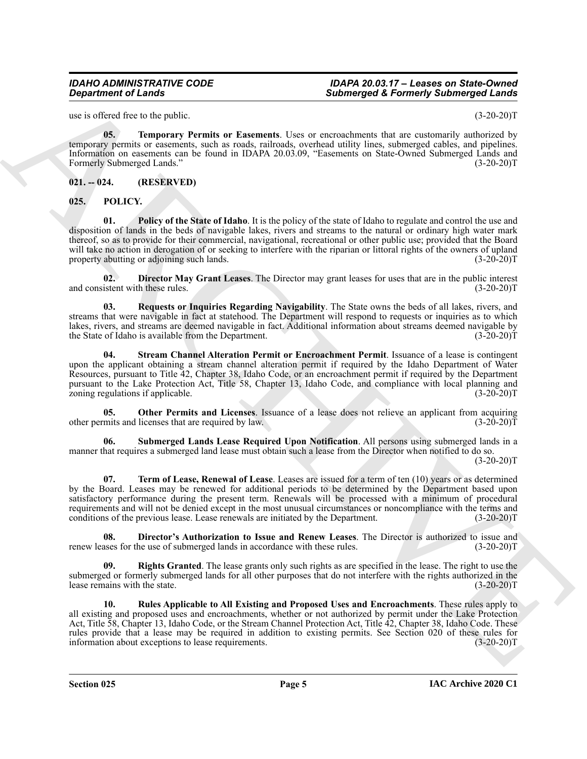<span id="page-4-2"></span>use is offered free to the public. (3-20-20)T

**05. Temporary Permits or Easements**. Uses or encroachments that are customarily authorized by temporary permits or easements, such as roads, railroads, overhead utility lines, submerged cables, and pipelines. Information on easements can be found in IDAPA 20.03.09, "Easements on State-Owned Submerged Lands and Formerly Submerged Lands." (3-20-20)T

#### <span id="page-4-0"></span>**021. -- 024. (RESERVED)**

<span id="page-4-7"></span><span id="page-4-3"></span><span id="page-4-1"></span>**025. POLICY.**

**Submarged & Fearing The mail control of the set of the set of the set of the set of the set of the set of the set of the set of the set of the set of the set of the set of the set of the set of the set of the set of the 01. Policy of the State of Idaho**. It is the policy of the state of Idaho to regulate and control the use and disposition of lands in the beds of navigable lakes, rivers and streams to the natural or ordinary high water mark thereof, so as to provide for their commercial, navigational, recreational or other public use; provided that the Board will take no action in derogation of or seeking to interfere with the riparian or littoral rights of the owners of upland property abutting or adjoining such lands. (3-20-20) T

<span id="page-4-4"></span>**02. Director May Grant Leases**. The Director may grant leases for uses that are in the public interest and consistent with these rules. (3-20-20)T

<span id="page-4-8"></span>**03. Requests or Inquiries Regarding Navigability**. The State owns the beds of all lakes, rivers, and streams that were navigable in fact at statehood. The Department will respond to requests or inquiries as to which lakes, rivers, and streams are deemed navigable in fact. Additional information about streams deemed navigable by the State of Idaho is available from the Department. the State of Idaho is available from the Department.

<span id="page-4-11"></span>**04. Stream Channel Alteration Permit or Encroachment Permit**. Issuance of a lease is contingent upon the applicant obtaining a stream channel alteration permit if required by the Idaho Department of Water Resources, pursuant to Title 42, Chapter 38, Idaho Code, or an encroachment permit if required by the Department pursuant to the Lake Protection Act, Title 58, Chapter 13, Idaho Code, and compliance with local planning and zoning regulations if applicable. (3-20-20)T

<span id="page-4-6"></span>**05.** Other Permits and Licenses. Issuance of a lease does not relieve an applicant from acquiring mits and licenses that are required by law. (3-20-20) other permits and licenses that are required by law.

<span id="page-4-12"></span>**06. Submerged Lands Lease Required Upon Notification**. All persons using submerged lands in a manner that requires a submerged land lease must obtain such a lease from the Director when notified to do so.

 $(3-20-20)T$ 

<span id="page-4-13"></span>**07. Term of Lease, Renewal of Lease**. Leases are issued for a term of ten (10) years or as determined by the Board. Leases may be renewed for additional periods to be determined by the Department based upon satisfactory performance during the present term. Renewals will be processed with a minimum of procedural requirements and will not be denied except in the most unusual circumstances or noncompliance with the terms and conditions of the previous lease. Lease renewals are initiated by the Department. (3-20-20)T

<span id="page-4-5"></span>**08.** Director's Authorization to Issue and Renew Leases. The Director is authorized to issue and ases for the use of submerged lands in accordance with these rules. (3-20-20) renew leases for the use of submerged lands in accordance with these rules.

<span id="page-4-9"></span>**Rights Granted**. The lease grants only such rights as are specified in the lease. The right to use the submerged or formerly submerged lands for all other purposes that do not interfere with the rights authorized in the lease remains with the state. (3-20-20)T lease remains with the state.

<span id="page-4-10"></span>**10. Rules Applicable to All Existing and Proposed Uses and Encroachments**. These rules apply to all existing and proposed uses and encroachments, whether or not authorized by permit under the Lake Protection Act, Title 58, Chapter 13, Idaho Code, or the Stream Channel Protection Act, Title 42, Chapter 38, Idaho Code. These rules provide that a lease may be required in addition to existing permits. See Section 020 of these rules for information about exceptions to lease requirements. (3-20-20) information about exceptions to lease requirements.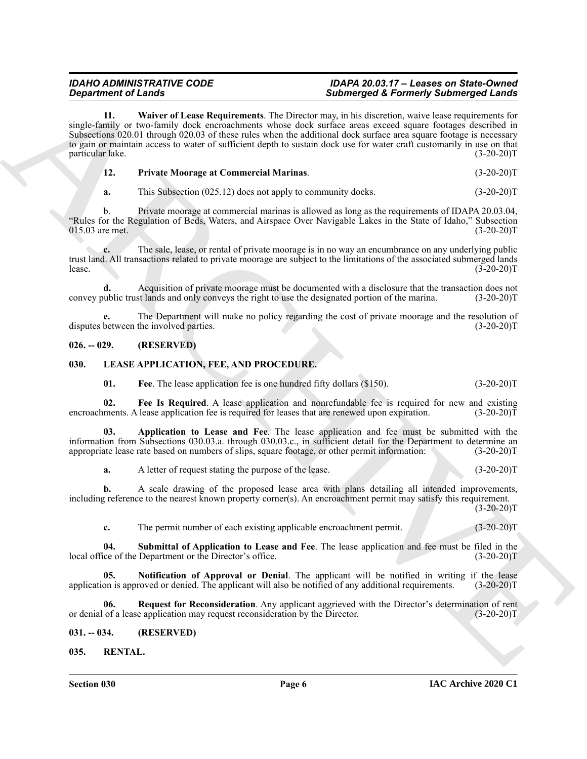**Signal rise of the law of the University of the law of the main of the Company of the Similar Signal Line Company of the Company of the Company of the Company of the Company of the Company of the Company of the Company o 11. Waiver of Lease Requirements**. The Director may, in his discretion, waive lease requirements for single-family or two-family dock encroachments whose dock surface areas exceed square footages described in Subsections 020.01 through 020.03 of these rules when the additional dock surface area square footage is necessary to gain or maintain access to water of sufficient depth to sustain dock use for water craft customarily in use on that particular lake. (3-20-20)T

<span id="page-5-12"></span><span id="page-5-11"></span>

| <b>Private Moorage at Commercial Marinas.</b> | $(3-20-20)T$ |
|-----------------------------------------------|--------------|
|                                               |              |

**a.** This Subsection (025.12) does not apply to community docks. (3-20-20)T

b. Private moorage at commercial marinas is allowed as long as the requirements of IDAPA 20.03.04, "Rules for the Regulation of Beds, Waters, and Airspace Over Navigable Lakes in the State of Idaho," Subsection  $015.03$  are met.

**c.** The sale, lease, or rental of private moorage is in no way an encumbrance on any underlying public trust land. All transactions related to private moorage are subject to the limitations of the associated submerged lands lease.  $(3-20-20)T$ 

**d.** Acquisition of private moorage must be documented with a disclosure that the transaction does not ublic trust lands and only conveys the right to use the designated portion of the marina. (3-20-20) convey public trust lands and only conveys the right to use the designated portion of the marina.

**e.** The Department will make no policy regarding the cost of private moorage and the resolution of between the involved parties. (3-20-20) disputes between the involved parties.

#### <span id="page-5-0"></span>**026. -- 029. (RESERVED)**

#### <span id="page-5-1"></span>**030. LEASE APPLICATION, FEE, AND PROCEDURE.**

<span id="page-5-7"></span><span id="page-5-6"></span><span id="page-5-5"></span><span id="page-5-4"></span>**01.** Free. The lease application fee is one hundred fifty dollars (\$150). (3-20-20)T

**02.** Fee Is Required. A lease application and nonrefundable fee is required for new and existing ments. A lease application fee is required for leases that are renewed upon expiration. (3-20-20) encroachments. A lease application fee is required for leases that are renewed upon expiration.

**03. Application to Lease and Fee**. The lease application and fee must be submitted with the information from Subsections 030.03.a. through 030.03.c., in sufficient detail for the Department to determine an appropriate lease rate based on numbers of slips, square footage, or other permit information: (3-20-20)T appropriate lease rate based on numbers of slips, square footage, or other permit information:

**a.** A letter of request stating the purpose of the lease. (3-20-20)T

**b.** A scale drawing of the proposed lease area with plans detailing all intended improvements, including reference to the nearest known property corner(s). An encroachment permit may satisfy this requirement.  $(3-20-20)T$ 

<span id="page-5-10"></span><span id="page-5-8"></span>**c.** The permit number of each existing applicable encroachment permit. (3-20-20)T

**04. Submittal of Application to Lease and Fee**. The lease application and fee must be filed in the local office of the Department or the Director's office.

**05.** Notification of Approval or Denial. The applicant will be notified in writing if the lease on is approved or denied. The applicant will also be notified of any additional requirements. (3-20-20)T application is approved or denied. The applicant will also be notified of any additional requirements.

<span id="page-5-9"></span>**06.** Request for Reconsideration. Any applicant aggrieved with the Director's determination of rent of a lease application may request reconsideration by the Director. (3-20-20)<sup>T</sup> or denial of a lease application may request reconsideration by the Director.

<span id="page-5-2"></span>**031. -- 034. (RESERVED)**

<span id="page-5-13"></span><span id="page-5-3"></span>**035. RENTAL.**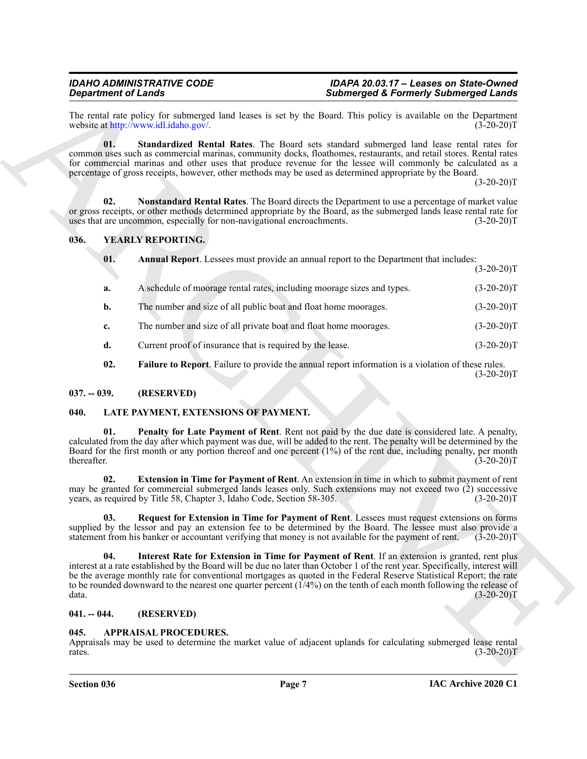#### <span id="page-6-14"></span><span id="page-6-13"></span><span id="page-6-12"></span><span id="page-6-11"></span><span id="page-6-0"></span>**036. YEARLY REPORTING.**

| <b>Department of Lands</b> |                                                                        | <b>Submerged &amp; Formerly Submerged Lands</b>                                                                                                                                                                                                                                                                                                                                                                                                                                   |               |
|----------------------------|------------------------------------------------------------------------|-----------------------------------------------------------------------------------------------------------------------------------------------------------------------------------------------------------------------------------------------------------------------------------------------------------------------------------------------------------------------------------------------------------------------------------------------------------------------------------|---------------|
|                            | website at http://www.idl.idaho.gov/.                                  | The rental rate policy for submerged land leases is set by the Board. This policy is available on the Department                                                                                                                                                                                                                                                                                                                                                                  | $(3-20-20)T$  |
| 01.                        |                                                                        | Standardized Rental Rates. The Board sets standard submerged land lease rental rates for<br>common uses such as commercial marinas, community docks, floathomes, restaurants, and retail stores. Rental rates<br>for commercial marinas and other uses that produce revenue for the lessee will commonly be calculated as a<br>percentage of gross receipts, however, other methods may be used as determined appropriate by the Board.                                           | $(3-20-20)T$  |
| 02.                        | uses that are uncommon, especially for non-navigational encroachments. | <b>Nonstandard Rental Rates</b> . The Board directs the Department to use a percentage of market value<br>or gross receipts, or other methods determined appropriate by the Board, as the submerged lands lease rental rate for                                                                                                                                                                                                                                                   | $(3-20-20)T$  |
| 036.                       | <b>YEARLY REPORTING.</b>                                               |                                                                                                                                                                                                                                                                                                                                                                                                                                                                                   |               |
| 01.                        |                                                                        | <b>Annual Report.</b> Lessees must provide an annual report to the Department that includes:                                                                                                                                                                                                                                                                                                                                                                                      | $(3-20-20)T$  |
| a.                         |                                                                        | A schedule of moorage rental rates, including moorage sizes and types.                                                                                                                                                                                                                                                                                                                                                                                                            | $(3-20-20)T$  |
| b.                         | The number and size of all public boat and float home moorages.        |                                                                                                                                                                                                                                                                                                                                                                                                                                                                                   | $(3-20-20)T$  |
| c.                         | The number and size of all private boat and float home moorages.       |                                                                                                                                                                                                                                                                                                                                                                                                                                                                                   | $(3-20-20)T$  |
| d.                         | Current proof of insurance that is required by the lease.              |                                                                                                                                                                                                                                                                                                                                                                                                                                                                                   | $(3-20-20)T$  |
| 02.                        |                                                                        | <b>Failure to Report.</b> Failure to provide the annual report information is a violation of these rules.                                                                                                                                                                                                                                                                                                                                                                         | $(3-20-20)T$  |
| $037. - 039.$              | (RESERVED)                                                             |                                                                                                                                                                                                                                                                                                                                                                                                                                                                                   |               |
| 040.                       | LATE PAYMENT, EXTENSIONS OF PAYMENT.                                   |                                                                                                                                                                                                                                                                                                                                                                                                                                                                                   |               |
| 01.<br>thereafter.         |                                                                        | Penalty for Late Payment of Rent. Rent not paid by the due date is considered late. A penalty,<br>calculated from the day after which payment was due, will be added to the rent. The penalty will be determined by the<br>Board for the first month or any portion thereof and one percent (1%) of the rent due, including penalty, per month                                                                                                                                    | $(3-20-20)T$  |
| 02.                        | years, as required by Title 58, Chapter 3, Idaho Code, Section 58-305. | Extension in Time for Payment of Rent. An extension in time in which to submit payment of rent<br>may be granted for commercial submerged lands leases only. Such extensions may not exceed two (2) successive                                                                                                                                                                                                                                                                    | $(3-20-20)T$  |
| 03.                        |                                                                        | Request for Extension in Time for Payment of Rent. Lessees must request extensions on forms<br>supplied by the lessor and pay an extension fee to be determined by the Board. The lessee must also provide a<br>statement from his banker or accountant verifying that money is not available for the payment of rent.                                                                                                                                                            | $(3-20-20)$ T |
| 04.<br>data.               |                                                                        | Interest Rate for Extension in Time for Payment of Rent. If an extension is granted, rent plus<br>interest at a rate established by the Board will be due no later than October 1 of the rent year. Specifically, interest will<br>be the average monthly rate for conventional mortgages as quoted in the Federal Reserve Statistical Report; the rate<br>to be rounded downward to the nearest one quarter percent $(1/4%)$ on the tenth of each month following the release of | $(3-20-20)T$  |
|                            |                                                                        |                                                                                                                                                                                                                                                                                                                                                                                                                                                                                   |               |
| $041. - 044.$              | (RESERVED)                                                             |                                                                                                                                                                                                                                                                                                                                                                                                                                                                                   |               |

#### <span id="page-6-15"></span><span id="page-6-1"></span>**037. -- 039. (RESERVED)**

#### <span id="page-6-10"></span><span id="page-6-9"></span><span id="page-6-7"></span><span id="page-6-6"></span><span id="page-6-2"></span>**040. LATE PAYMENT, EXTENSIONS OF PAYMENT.**

#### <span id="page-6-8"></span><span id="page-6-3"></span>**041. -- 044. (RESERVED)**

#### <span id="page-6-5"></span><span id="page-6-4"></span>**045. APPRAISAL PROCEDURES.**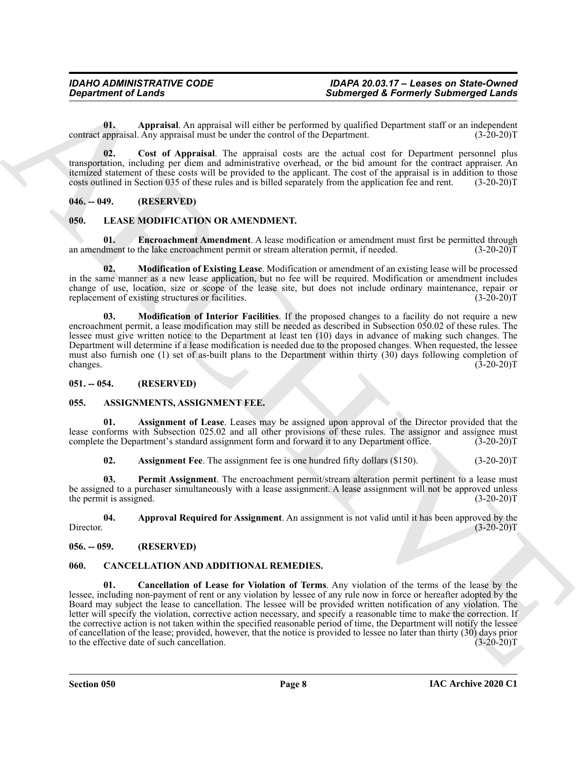<span id="page-7-6"></span>**01. Appraisal**. An appraisal will either be performed by qualified Department staff or an independent contract appraisal. Any appraisal must be under the control of the Department.

<span id="page-7-7"></span>**02. Cost of Appraisal**. The appraisal costs are the actual cost for Department personnel plus transportation, including per diem and administrative overhead, or the bid amount for the contract appraiser. An itemized statement of these costs will be provided to the applicant. The cost of the appraisal is in addition to those costs outlined in Section 035 of these rules and is billed separately from the application fee and rent. (3-20-20)T

#### <span id="page-7-0"></span>**046. -- 049. (RESERVED)**

#### <span id="page-7-16"></span><span id="page-7-15"></span><span id="page-7-1"></span>**050. LEASE MODIFICATION OR AMENDMENT.**

**01. Encroachment Amendment**. A lease modification or amendment must first be permitted through an amendment to the lake encroachment permit or stream alteration permit, if needed. (3-20-20)T

<span id="page-7-17"></span>**02. Modification of Existing Lease**. Modification or amendment of an existing lease will be processed in the same manner as a new lease application, but no fee will be required. Modification or amendment includes change of use, location, size or scope of the lease site, but does not include ordinary maintenance, repair or replacement of existing structures or facilities. (3-20-20) replacement of existing structures or facilities.

<span id="page-7-18"></span>**03. Modification of Interior Facilities**. If the proposed changes to a facility do not require a new encroachment permit, a lease modification may still be needed as described in Subsection 050.02 of these rules. The lessee must give written notice to the Department at least ten (10) days in advance of making such changes. The Department will determine if a lease modification is needed due to the proposed changes. When requested, the lessee must also furnish one (1) set of as-built plans to the Department within thirty (30) days following completion of changes. (3-20-20)T changes. (3-20-20)T

#### <span id="page-7-2"></span>**051. -- 054. (RESERVED)**

#### <span id="page-7-8"></span><span id="page-7-3"></span>**055. ASSIGNMENTS, ASSIGNMENT FEE.**

**01. Assignment of Lease**. Leases may be assigned upon approval of the Director provided that the lease conforms with Subsection 025.02 and all other provisions of these rules. The assignor and assignee must<br>complete the Department's standard assignment form and forward it to any Department office. (3-20-20)T complete the Department's standard assignment form and forward it to any Department office.

<span id="page-7-12"></span><span id="page-7-11"></span><span id="page-7-10"></span><span id="page-7-9"></span>**02.** Assignment Fee. The assignment fee is one hundred fifty dollars (\$150). (3-20-20)T

**03. Permit Assignment**. The encroachment permit/stream alteration permit pertinent to a lease must be assigned to a purchaser simultaneously with a lease assignment. A lease assignment will not be approved unless the permit is assigned. (3-20-20)T

**04. Approval Required for Assignment**. An assignment is not valid until it has been approved by the Director. (3-20-20)T

#### <span id="page-7-4"></span>**056. -- 059. (RESERVED)**

#### <span id="page-7-14"></span><span id="page-7-13"></span><span id="page-7-5"></span>**060. CANCELLATION AND ADDITIONAL REMEDIES.**

**Submerged & Fearing of Lends<br>
2.** Submerged & Fearing of Mark 19. Submerged & Fearing of Mark 19.<br>
2. Control Archives Control Archives Control Archives Control Archives Control Archives Control Archives Control Archives **01. Cancellation of Lease for Violation of Terms**. Any violation of the terms of the lease by the lessee, including non-payment of rent or any violation by lessee of any rule now in force or hereafter adopted by the Board may subject the lease to cancellation. The lessee will be provided written notification of any violation. The letter will specify the violation, corrective action necessary, and specify a reasonable time to make the correction. If the corrective action is not taken within the specified reasonable period of time, the Department will notify the lessee of cancellation of the lease; provided, however, that the notice is provided to lessee no later than thirty (30) days prior to the effective date of such cancellation. (3-20-20) to the effective date of such cancellation.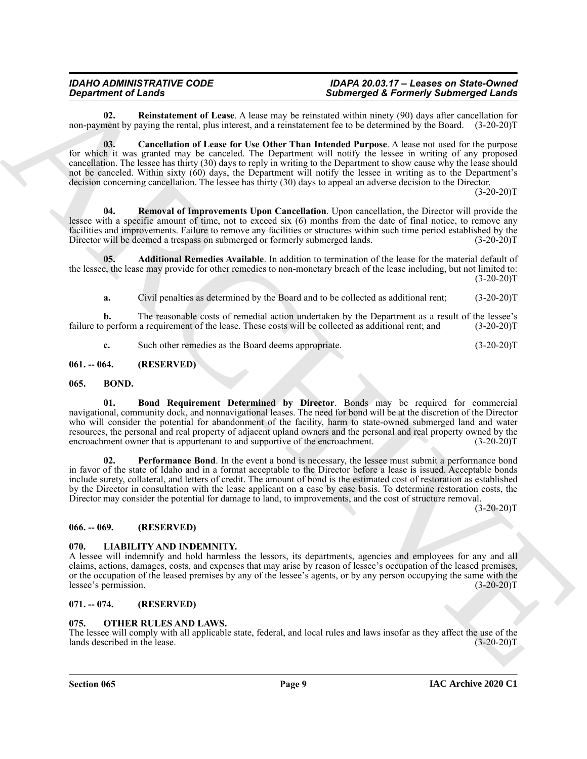<span id="page-8-11"></span>**02. Reinstatement of Lease**. A lease may be reinstated within ninety (90) days after cancellation for non-payment by paying the rental, plus interest, and a reinstatement fee to be determined by the Board. (3-20-20)T

<span id="page-8-10"></span>**03. Cancellation of Lease for Use Other Than Intended Purpose**. A lease not used for the purpose for which it was granted may be canceled. The Department will notify the lessee in writing of any proposed cancellation. The lessee has thirty (30) days to reply in writing to the Department to show cause why the lease should not be canceled. Within sixty (60) days, the Department will notify the lessee in writing as to the Department's decision concerning cancellation. The lessee has thirty (30) days to appeal an adverse decision to the Director.

 $(3-20-20)T$ 

<span id="page-8-12"></span>**04. Removal of Improvements Upon Cancellation**. Upon cancellation, the Director will provide the lessee with a specific amount of time, not to exceed six (6) months from the date of final notice, to remove any facilities and improvements. Failure to remove any facilities or structures within such time period established by the Director will be deemed a trespass on submerged or formerly submerged lands. (3-20-20)T

**05. Additional Remedies Available**. In addition to termination of the lease for the material default of the lessee, the lease may provide for other remedies to non-monetary breach of the lease including, but not limited to:  $(3-20-20)T$ 

<span id="page-8-9"></span>**a.** Civil penalties as determined by the Board and to be collected as additional rent; (3-20-20)T

**b.** The reasonable costs of remedial action undertaken by the Department as a result of the lessee's perform a requirement of the lease. These costs will be collected as additional rent; and (3-20-20)T failure to perform a requirement of the lease. These costs will be collected as additional rent; and

<span id="page-8-7"></span><span id="page-8-6"></span>**c.** Such other remedies as the Board deems appropriate. (3-20-20)T

<span id="page-8-0"></span>**061. -- 064. (RESERVED)**

#### <span id="page-8-1"></span>**065. BOND.**

**Singurizeri of Least States were also as a state of the singular state of the singular state of the singular state and the singular state of the States of the States of the States of the States of the States of the State 01. Bond Requirement Determined by Director**. Bonds may be required for commercial navigational, community dock, and nonnavigational leases. The need for bond will be at the discretion of the Director who will consider the potential for abandonment of the facility, harm to state-owned submerged land and water resources, the personal and real property of adjacent upland owners and the personal and real property owned by the encroachment owner that is appurtenant to and supportive of the encroachment. (3-20-20)T encroachment owner that is appurtenant to and supportive of the encroachment.

<span id="page-8-8"></span>**02. Performance Bond**. In the event a bond is necessary, the lessee must submit a performance bond in favor of the state of Idaho and in a format acceptable to the Director before a lease is issued. Acceptable bonds include surety, collateral, and letters of credit. The amount of bond is the estimated cost of restoration as established by the Director in consultation with the lease applicant on a case by case basis. To determine restoration costs, the Director may consider the potential for damage to land, to improvements, and the cost of structure removal.

 $(3-20-20)T$ 

#### <span id="page-8-2"></span>**066. -- 069. (RESERVED)**

#### <span id="page-8-13"></span><span id="page-8-3"></span>**070. LIABILITY AND INDEMNITY.**

A lessee will indemnify and hold harmless the lessors, its departments, agencies and employees for any and all claims, actions, damages, costs, and expenses that may arise by reason of lessee's occupation of the leased premises, or the occupation of the leased premises by any of the lessee's agents, or by any person occupying the same with the lessee's permission. (3-20-20)T lessee's permission.

#### <span id="page-8-4"></span>**071. -- 074. (RESERVED)**

#### <span id="page-8-5"></span>**075. OTHER RULES AND LAWS.**

The lessee will comply with all applicable state, federal, and local rules and laws insofar as they affect the use of the lands described in the lease. (3-20-20) lands described in the lease.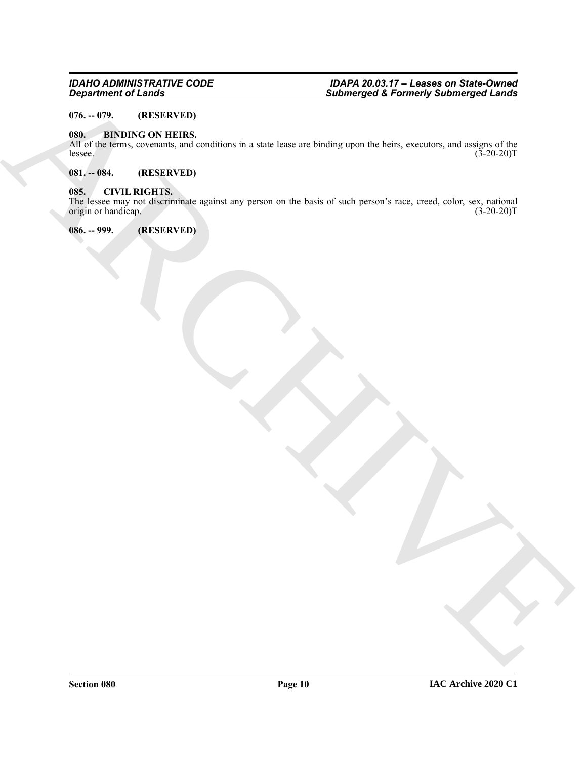#### <span id="page-9-0"></span>**076. -- 079. (RESERVED)**

#### <span id="page-9-5"></span><span id="page-9-1"></span>**080. BINDING ON HEIRS.**

All of the terms, covenants, and conditions in a state lease are binding upon the heirs, executors, and assigns of the lessee.  $(3-20-20)T$ 

#### <span id="page-9-2"></span>**081. -- 084. (RESERVED)**

#### <span id="page-9-3"></span>**085. CIVIL RIGHTS.**

 $\frac{1}{2}$   $\frac{1}{2}$   $\frac{1}{2}$   $\frac{1}{2}$   $\frac{1}{2}$   $\frac{1}{2}$   $\frac{1}{2}$   $\frac{1}{2}$   $\frac{1}{2}$   $\frac{1}{2}$   $\frac{1}{2}$   $\frac{1}{2}$   $\frac{1}{2}$   $\frac{1}{2}$   $\frac{1}{2}$   $\frac{1}{2}$   $\frac{1}{2}$   $\frac{1}{2}$   $\frac{1}{2}$   $\frac{1}{2}$   $\frac{1}{2}$   $\frac{1}{2}$  The lessee may not discriminate against any person on the basis of such person's race, creed, color, sex, national origin or handicap. (3-20-20)T

<span id="page-9-4"></span>**086. -- 999. (RESERVED)**